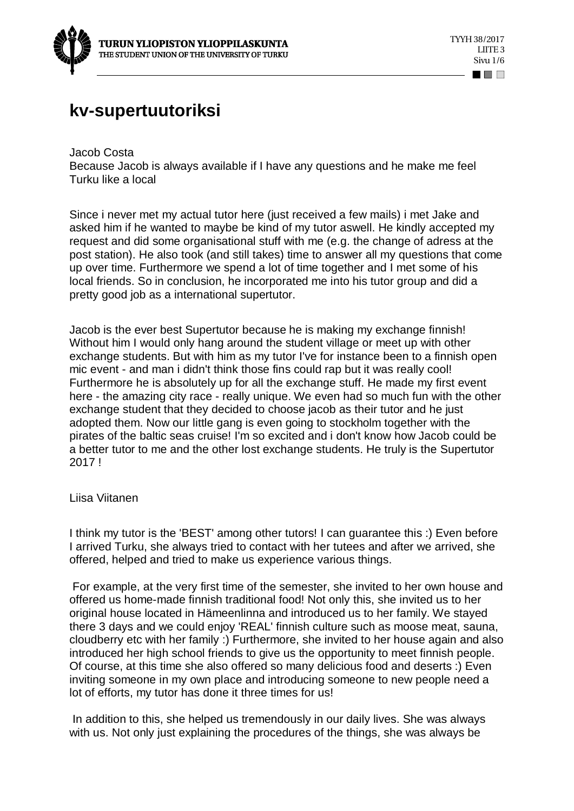

## **kv-supertuutoriksi**

Jacob Costa Because Jacob is always available if I have any questions and he make me feel Turku like a local

Since i never met my actual tutor here (just received a few mails) i met Jake and asked him if he wanted to maybe be kind of my tutor aswell. He kindly accepted my request and did some organisational stuff with me (e.g. the change of adress at the post station). He also took (and still takes) time to answer all my questions that come up over time. Furthermore we spend a lot of time together and I met some of his local friends. So in conclusion, he incorporated me into his tutor group and did a pretty good job as a international supertutor.

Jacob is the ever best Supertutor because he is making my exchange finnish! Without him I would only hang around the student village or meet up with other exchange students. But with him as my tutor I've for instance been to a finnish open mic event - and man i didn't think those fins could rap but it was really cool! Furthermore he is absolutely up for all the exchange stuff. He made my first event here - the amazing city race - really unique. We even had so much fun with the other exchange student that they decided to choose jacob as their tutor and he just adopted them. Now our little gang is even going to stockholm together with the pirates of the baltic seas cruise! I'm so excited and i don't know how Jacob could be a better tutor to me and the other lost exchange students. He truly is the Supertutor 2017 !

Liisa Viitanen

I think my tutor is the 'BEST' among other tutors! I can guarantee this :) Even before I arrived Turku, she always tried to contact with her tutees and after we arrived, she offered, helped and tried to make us experience various things.

 For example, at the very first time of the semester, she invited to her own house and offered us home-made finnish traditional food! Not only this, she invited us to her original house located in Hämeenlinna and introduced us to her family. We stayed there 3 days and we could enjoy 'REAL' finnish culture such as moose meat, sauna, cloudberry etc with her family :) Furthermore, she invited to her house again and also introduced her high school friends to give us the opportunity to meet finnish people. Of course, at this time she also offered so many delicious food and deserts :) Even inviting someone in my own place and introducing someone to new people need a lot of efforts, my tutor has done it three times for us!

 In addition to this, she helped us tremendously in our daily lives. She was always with us. Not only just explaining the procedures of the things, she was always be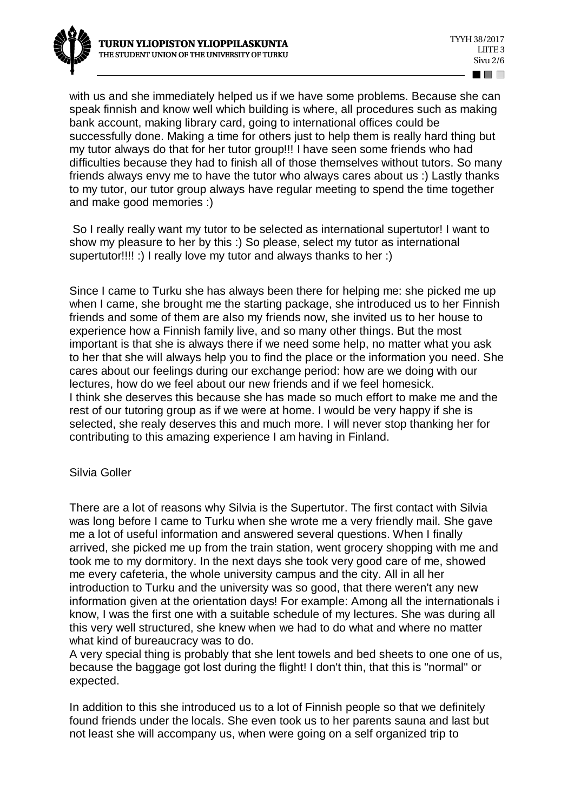with us and she immediately helped us if we have some problems. Because she can speak finnish and know well which building is where, all procedures such as making bank account, making library card, going to international offices could be successfully done. Making a time for others just to help them is really hard thing but my tutor always do that for her tutor group!!! I have seen some friends who had difficulties because they had to finish all of those themselves without tutors. So many friends always envy me to have the tutor who always cares about us :) Lastly thanks to my tutor, our tutor group always have regular meeting to spend the time together and make good memories :)

 So I really really want my tutor to be selected as international supertutor! I want to show my pleasure to her by this :) So please, select my tutor as international supertutor!!!! :) I really love my tutor and always thanks to her :)

Since I came to Turku she has always been there for helping me: she picked me up when I came, she brought me the starting package, she introduced us to her Finnish friends and some of them are also my friends now, she invited us to her house to experience how a Finnish family live, and so many other things. But the most important is that she is always there if we need some help, no matter what you ask to her that she will always help you to find the place or the information you need. She cares about our feelings during our exchange period: how are we doing with our lectures, how do we feel about our new friends and if we feel homesick. I think she deserves this because she has made so much effort to make me and the rest of our tutoring group as if we were at home. I would be very happy if she is selected, she realy deserves this and much more. I will never stop thanking her for contributing to this amazing experience I am having in Finland.

## Silvia Goller

There are a lot of reasons why Silvia is the Supertutor. The first contact with Silvia was long before I came to Turku when she wrote me a very friendly mail. She gave me a lot of useful information and answered several questions. When I finally arrived, she picked me up from the train station, went grocery shopping with me and took me to my dormitory. In the next days she took very good care of me, showed me every cafeteria, the whole university campus and the city. All in all her introduction to Turku and the university was so good, that there weren't any new information given at the orientation days! For example: Among all the internationals i know, I was the first one with a suitable schedule of my lectures. She was during all this very well structured, she knew when we had to do what and where no matter what kind of bureaucracy was to do.

A very special thing is probably that she lent towels and bed sheets to one one of us, because the baggage got lost during the flight! I don't thin, that this is "normal" or expected.

In addition to this she introduced us to a lot of Finnish people so that we definitely found friends under the locals. She even took us to her parents sauna and last but not least she will accompany us, when were going on a self organized trip to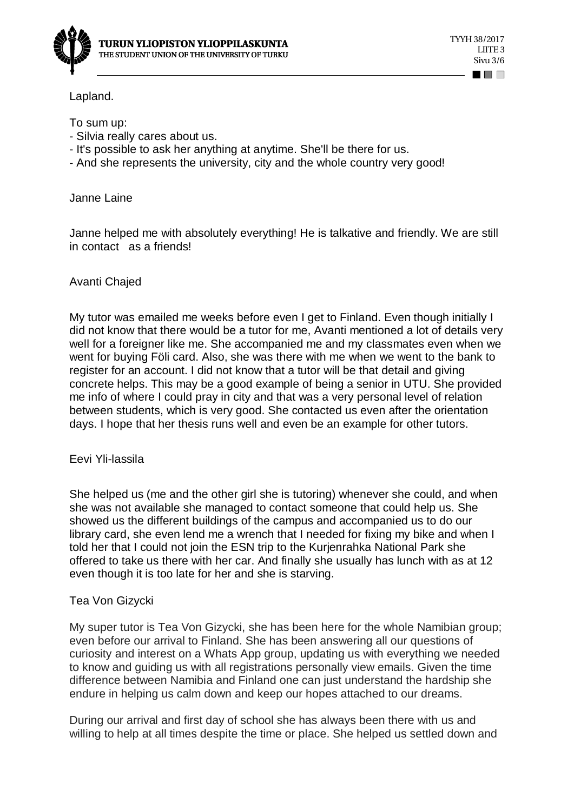

Lapland.

To sum up:

- Silvia really cares about us.
- It's possible to ask her anything at anytime. She'll be there for us.
- And she represents the university, city and the whole country very good!

Janne Laine

Janne helped me with absolutely everything! He is talkative and friendly. We are still in contact as a friends!

Avanti Chajed

My tutor was emailed me weeks before even I get to Finland. Even though initially I did not know that there would be a tutor for me, Avanti mentioned a lot of details very well for a foreigner like me. She accompanied me and my classmates even when we went for buying Föli card. Also, she was there with me when we went to the bank to register for an account. I did not know that a tutor will be that detail and giving concrete helps. This may be a good example of being a senior in UTU. She provided me info of where I could pray in city and that was a very personal level of relation between students, which is very good. She contacted us even after the orientation days. I hope that her thesis runs well and even be an example for other tutors.

Eevi Yli-lassila

She helped us (me and the other girl she is tutoring) whenever she could, and when she was not available she managed to contact someone that could help us. She showed us the different buildings of the campus and accompanied us to do our library card, she even lend me a wrench that I needed for fixing my bike and when I told her that I could not join the ESN trip to the Kurjenrahka National Park she offered to take us there with her car. And finally she usually has lunch with as at 12 even though it is too late for her and she is starving.

## Tea Von Gizycki

My super tutor is Tea Von Gizycki, she has been here for the whole Namibian group; even before our arrival to Finland. She has been answering all our questions of curiosity and interest on a Whats App group, updating us with everything we needed to know and guiding us with all registrations personally view emails. Given the time difference between Namibia and Finland one can just understand the hardship she endure in helping us calm down and keep our hopes attached to our dreams.

During our arrival and first day of school she has always been there with us and willing to help at all times despite the time or place. She helped us settled down and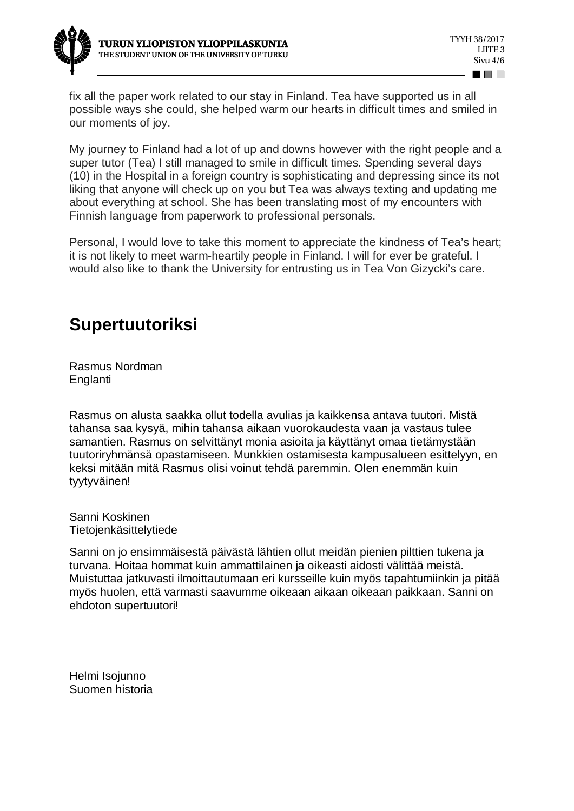

fix all the paper work related to our stay in Finland. Tea have supported us in all possible ways she could, she helped warm our hearts in difficult times and smiled in our moments of joy.

My journey to Finland had a lot of up and downs however with the right people and a super tutor (Tea) I still managed to smile in difficult times. Spending several days (10) in the Hospital in a foreign country is sophisticating and depressing since its not liking that anyone will check up on you but Tea was always texting and updating me about everything at school. She has been translating most of my encounters with Finnish language from paperwork to professional personals.

Personal, I would love to take this moment to appreciate the kindness of Tea's heart; it is not likely to meet warm-heartily people in Finland. I will for ever be grateful. I would also like to thank the University for entrusting us in Tea Von Gizycki's care.

## **Supertuutoriksi**

Rasmus Nordman Englanti

Rasmus on alusta saakka ollut todella avulias ja kaikkensa antava tuutori. Mistä tahansa saa kysyä, mihin tahansa aikaan vuorokaudesta vaan ja vastaus tulee samantien. Rasmus on selvittänyt monia asioita ja käyttänyt omaa tietämystään tuutoriryhmänsä opastamiseen. Munkkien ostamisesta kampusalueen esittelyyn, en keksi mitään mitä Rasmus olisi voinut tehdä paremmin. Olen enemmän kuin tyytyväinen!

Sanni Koskinen Tietojenkäsittelytiede

Sanni on jo ensimmäisestä päivästä lähtien ollut meidän pienien pilttien tukena ja turvana. Hoitaa hommat kuin ammattilainen ja oikeasti aidosti välittää meistä. Muistuttaa jatkuvasti ilmoittautumaan eri kursseille kuin myös tapahtumiinkin ja pitää myös huolen, että varmasti saavumme oikeaan aikaan oikeaan paikkaan. Sanni on ehdoton supertuutori!

Helmi Isojunno Suomen historia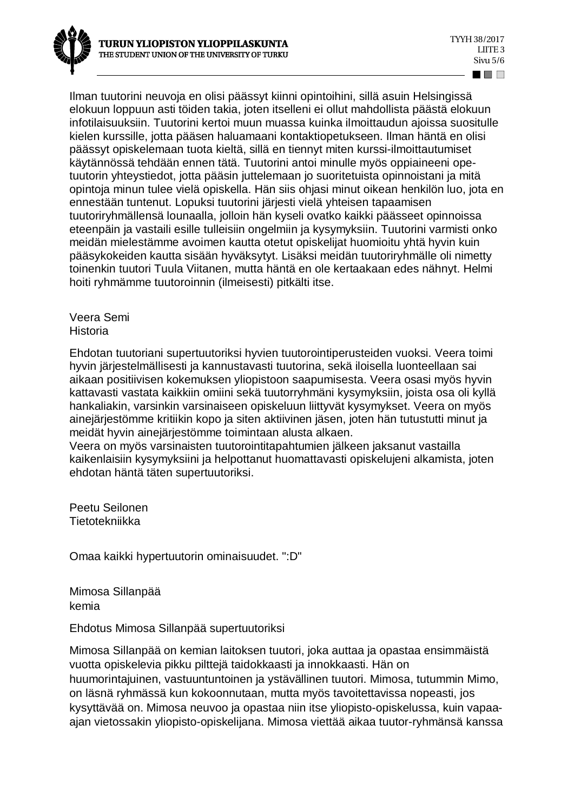

Ilman tuutorini neuvoja en olisi päässyt kiinni opintoihini, sillä asuin Helsingissä elokuun loppuun asti töiden takia, joten itselleni ei ollut mahdollista päästä elokuun infotilaisuuksiin. Tuutorini kertoi muun muassa kuinka ilmoittaudun ajoissa suositulle kielen kurssille, jotta pääsen haluamaani kontaktiopetukseen. Ilman häntä en olisi päässyt opiskelemaan tuota kieltä, sillä en tiennyt miten kurssi-ilmoittautumiset käytännössä tehdään ennen tätä. Tuutorini antoi minulle myös oppiaineeni opetuutorin yhteystiedot, jotta pääsin juttelemaan jo suoritetuista opinnoistani ja mitä opintoja minun tulee vielä opiskella. Hän siis ohjasi minut oikean henkilön luo, jota en ennestään tuntenut. Lopuksi tuutorini järjesti vielä yhteisen tapaamisen tuutoriryhmällensä lounaalla, jolloin hän kyseli ovatko kaikki päässeet opinnoissa eteenpäin ja vastaili esille tulleisiin ongelmiin ja kysymyksiin. Tuutorini varmisti onko meidän mielestämme avoimen kautta otetut opiskelijat huomioitu yhtä hyvin kuin pääsykokeiden kautta sisään hyväksytyt. Lisäksi meidän tuutoriryhmälle oli nimetty toinenkin tuutori Tuula Viitanen, mutta häntä en ole kertaakaan edes nähnyt. Helmi hoiti ryhmämme tuutoroinnin (ilmeisesti) pitkälti itse.

Veera Semi Historia

Ehdotan tuutoriani supertuutoriksi hyvien tuutorointiperusteiden vuoksi. Veera toimi hyvin järjestelmällisesti ja kannustavasti tuutorina, sekä iloisella luonteellaan sai aikaan positiivisen kokemuksen yliopistoon saapumisesta. Veera osasi myös hyvin kattavasti vastata kaikkiin omiini sekä tuutorryhmäni kysymyksiin, joista osa oli kyllä hankaliakin, varsinkin varsinaiseen opiskeluun liittyvät kysymykset. Veera on myös ainejärjestömme kritiikin kopo ja siten aktiivinen jäsen, joten hän tutustutti minut ja meidät hyvin ainejärjestömme toimintaan alusta alkaen.

Veera on myös varsinaisten tuutorointitapahtumien jälkeen jaksanut vastailla kaikenlaisiin kysymyksiini ja helpottanut huomattavasti opiskelujeni alkamista, joten ehdotan häntä täten supertuutoriksi.

Peetu Seilonen Tietotekniikka

Omaa kaikki hypertuutorin ominaisuudet. ":D"

Mimosa Sillanpää kemia

Ehdotus Mimosa Sillanpää supertuutoriksi

Mimosa Sillanpää on kemian laitoksen tuutori, joka auttaa ja opastaa ensimmäistä vuotta opiskelevia pikku pilttejä taidokkaasti ja innokkaasti. Hän on huumorintajuinen, vastuuntuntoinen ja ystävällinen tuutori. Mimosa, tutummin Mimo, on läsnä ryhmässä kun kokoonnutaan, mutta myös tavoitettavissa nopeasti, jos kysyttävää on. Mimosa neuvoo ja opastaa niin itse yliopisto-opiskelussa, kuin vapaaajan vietossakin yliopisto-opiskelijana. Mimosa viettää aikaa tuutor-ryhmänsä kanssa